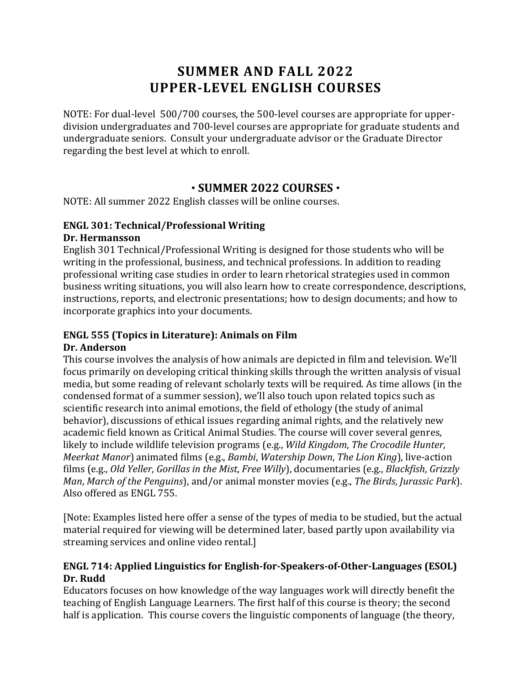# **SUMMER AND FALL 2022 UPPER-LEVEL ENGLISH COURSES**

NOTE: For dual-level 500/700 courses, the 500-level courses are appropriate for upperdivision undergraduates and 700-level courses are appropriate for graduate students and undergraduate seniors. Consult your undergraduate advisor or the Graduate Director regarding the best level at which to enroll.

## **SUMMER 2022 COURSES**

NOTE: All summer 2022 English classes will be online courses.

## **ENGL 301: Technical/Professional Writing**

#### **Dr. Hermansson**

English 301 Technical/Professional Writing is designed for those students who will be writing in the professional, business, and technical professions. In addition to reading professional writing case studies in order to learn rhetorical strategies used in common business writing situations, you will also learn how to create correspondence, descriptions, instructions, reports, and electronic presentations; how to design documents; and how to incorporate graphics into your documents.

#### **ENGL 555** (Topics in Literature): Animals on Film **Dr. Anderson**

This course involves the analysis of how animals are depicted in film and television. We'll focus primarily on developing critical thinking skills through the written analysis of visual media, but some reading of relevant scholarly texts will be required. As time allows (in the condensed format of a summer session), we'll also touch upon related topics such as scientific research into animal emotions, the field of ethology (the study of animal behavior), discussions of ethical issues regarding animal rights, and the relatively new academic field known as Critical Animal Studies. The course will cover several genres, likely to include wildlife television programs (e.g., *Wild Kingdom*, *The Crocodile Hunter*, *Meerkat Manor*) animated films (e.g., *Bambi*, *Watership Down*, *The Lion King*), live-action films (e.g., *Old Yeller, Gorillas in the Mist, Free Willy*), documentaries (e.g., *Blackfish, Grizzly Man, March of the Penguins*), and/or animal monster movies (e.g., *The Birds, Jurassic Park*). Also offered as ENGL 755.

[Note: Examples listed here offer a sense of the types of media to be studied, but the actual material required for viewing will be determined later, based partly upon availability via streaming services and online video rental.]

## **ENGL 714: Applied Linguistics for English-for-Speakers-of-Other-Languages (ESOL) Dr. Rudd**

Educators focuses on how knowledge of the way languages work will directly benefit the teaching of English Language Learners. The first half of this course is theory; the second half is application. This course covers the linguistic components of language (the theory,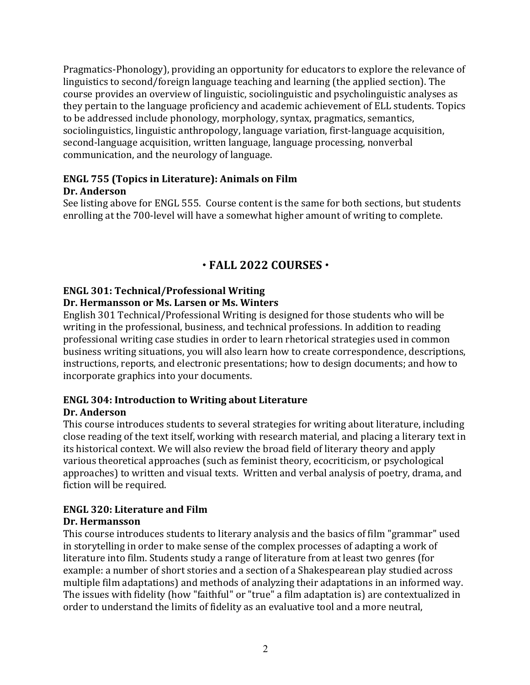Pragmatics-Phonology), providing an opportunity for educators to explore the relevance of linguistics to second/foreign language teaching and learning (the applied section). The course provides an overview of linguistic, sociolinguistic and psycholinguistic analyses as they pertain to the language proficiency and academic achievement of ELL students. Topics to be addressed include phonology, morphology, syntax, pragmatics, semantics, sociolinguistics, linguistic anthropology, language variation, first-language acquisition, second-language acquisition, written language, language processing, nonverbal communication, and the neurology of language.

### **ENGL 755 (Topics in Literature): Animals on Film Dr. Anderson**

See listing above for ENGL 555. Course content is the same for both sections, but students enrolling at the 700-level will have a somewhat higher amount of writing to complete.

## **FALL 2022 COURSES**

## **ENGL 301: Technical/Professional Writing**

#### **Dr. Hermansson or Ms. Larsen or Ms. Winters**

English 301 Technical/Professional Writing is designed for those students who will be writing in the professional, business, and technical professions. In addition to reading professional writing case studies in order to learn rhetorical strategies used in common business writing situations, you will also learn how to create correspondence, descriptions, instructions, reports, and electronic presentations; how to design documents; and how to incorporate graphics into your documents.

# **ENGL 304: Introduction to Writing about Literature**

#### **Dr. Anderson**

This course introduces students to several strategies for writing about literature, including close reading of the text itself, working with research material, and placing a literary text in its historical context. We will also review the broad field of literary theory and apply various theoretical approaches (such as feminist theory, ecocriticism, or psychological approaches) to written and visual texts. Written and verbal analysis of poetry, drama, and fiction will be required.

#### **ENGL 320: Literature and Film Dr. Hermansson**

This course introduces students to literary analysis and the basics of film "grammar" used in storytelling in order to make sense of the complex processes of adapting a work of literature into film. Students study a range of literature from at least two genres (for example: a number of short stories and a section of a Shakespearean play studied across multiple film adaptations) and methods of analyzing their adaptations in an informed way. The issues with fidelity (how "faithful" or "true" a film adaptation is) are contextualized in order to understand the limits of fidelity as an evaluative tool and a more neutral,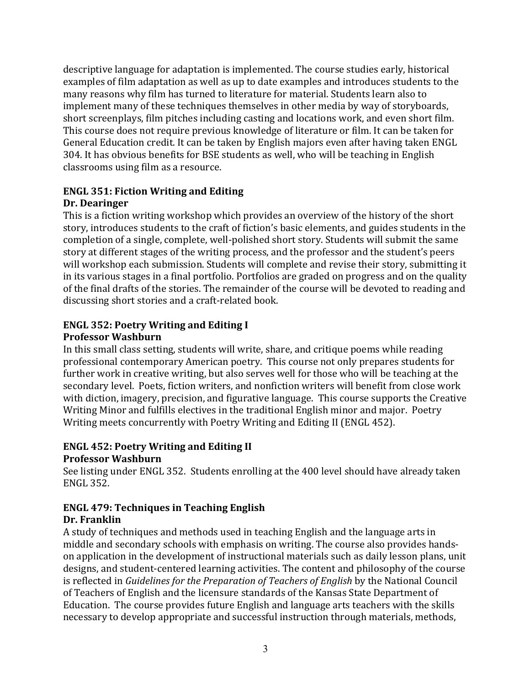descriptive language for adaptation is implemented. The course studies early, historical examples of film adaptation as well as up to date examples and introduces students to the many reasons why film has turned to literature for material. Students learn also to implement many of these techniques themselves in other media by way of storyboards, short screenplays, film pitches including casting and locations work, and even short film. This course does not require previous knowledge of literature or film. It can be taken for General Education credit. It can be taken by English majors even after having taken ENGL 304. It has obvious benefits for BSE students as well, who will be teaching in English classrooms using film as a resource.

# **ENGL 351: Fiction Writing and Editing**

## **Dr. Dearinger**

This is a fiction writing workshop which provides an overview of the history of the short story, introduces students to the craft of fiction's basic elements, and guides students in the completion of a single, complete, well-polished short story. Students will submit the same story at different stages of the writing process, and the professor and the student's peers will workshop each submission. Students will complete and revise their story, submitting it in its various stages in a final portfolio. Portfolios are graded on progress and on the quality of the final drafts of the stories. The remainder of the course will be devoted to reading and discussing short stories and a craft-related book.

#### **ENGL 352: Poetry Writing and Editing I Professor Washburn**

In this small class setting, students will write, share, and critique poems while reading professional contemporary American poetry. This course not only prepares students for further work in creative writing, but also serves well for those who will be teaching at the secondary level. Poets, fiction writers, and nonfiction writers will benefit from close work with diction, imagery, precision, and figurative language. This course supports the Creative Writing Minor and fulfills electives in the traditional English minor and major. Poetry Writing meets concurrently with Poetry Writing and Editing II (ENGL 452).

#### **ENGL 452: Poetry Writing and Editing II Professor Washburn**

See listing under ENGL 352. Students enrolling at the 400 level should have already taken ENGL 352.

#### **ENGL 479: Techniques in Teaching English Dr. Franklin**

A study of techniques and methods used in teaching English and the language arts in middle and secondary schools with emphasis on writing. The course also provides handson application in the development of instructional materials such as daily lesson plans, unit designs, and student-centered learning activities. The content and philosophy of the course is reflected in *Guidelines for the Preparation of Teachers of English* by the National Council of Teachers of English and the licensure standards of the Kansas State Department of Education. The course provides future English and language arts teachers with the skills necessary to develop appropriate and successful instruction through materials, methods,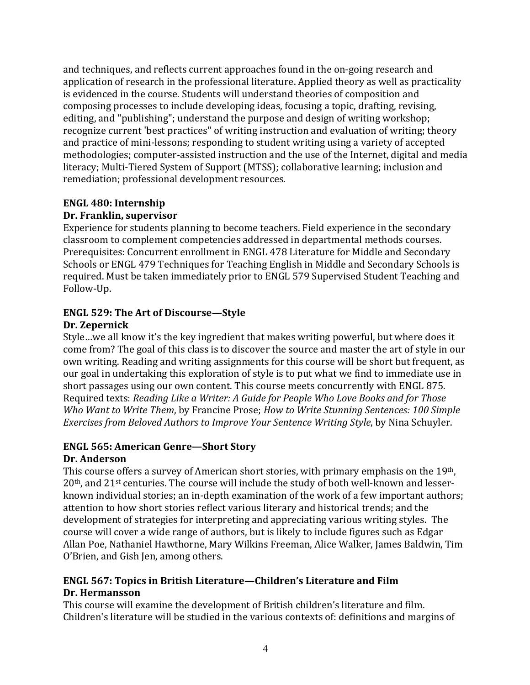and techniques, and reflects current approaches found in the on-going research and application of research in the professional literature. Applied theory as well as practicality is evidenced in the course. Students will understand theories of composition and composing processes to include developing ideas, focusing a topic, drafting, revising, editing, and "publishing"; understand the purpose and design of writing workshop; recognize current 'best practices" of writing instruction and evaluation of writing; theory and practice of mini-lessons; responding to student writing using a variety of accepted methodologies; computer-assisted instruction and the use of the Internet, digital and media literacy; Multi-Tiered System of Support (MTSS); collaborative learning; inclusion and remediation; professional development resources.

#### **ENGL 480: Internship**

#### **Dr. Franklin, supervisor**

Experience for students planning to become teachers. Field experience in the secondary classroom to complement competencies addressed in departmental methods courses. Prerequisites: Concurrent enrollment in ENGL 478 Literature for Middle and Secondary Schools or ENGL 479 Techniques for Teaching English in Middle and Secondary Schools is required. Must be taken immediately prior to ENGL 579 Supervised Student Teaching and Follow-Up.

# **ENGL 529: The Art of Discourse–Style**

## **Dr. Zepernick**

Style...we all know it's the key ingredient that makes writing powerful, but where does it come from? The goal of this class is to discover the source and master the art of style in our own writing. Reading and writing assignments for this course will be short but frequent, as our goal in undertaking this exploration of style is to put what we find to immediate use in short passages using our own content. This course meets concurrently with ENGL 875. Required texts: *Reading Like a Writer: A Guide for People Who Love Books and for Those Who Want to Write Them,* by Francine Prose; *How to Write Stunning Sentences: 100 Simple Exercises from Beloved Authors to Improve Your Sentence Writing Style*, by Nina Schuyler.

## **ENGL 565: American Genre-Short Story**

#### **Dr. Anderson**

This course offers a survey of American short stories, with primary emphasis on the  $19<sup>th</sup>$ ,  $20<sup>th</sup>$ , and  $21<sup>st</sup>$  centuries. The course will include the study of both well-known and lesserknown individual stories; an in-depth examination of the work of a few important authors; attention to how short stories reflect various literary and historical trends; and the development of strategies for interpreting and appreciating various writing styles. The course will cover a wide range of authors, but is likely to include figures such as Edgar Allan Poe, Nathaniel Hawthorne, Mary Wilkins Freeman, Alice Walker, James Baldwin, Tim O'Brien, and Gish Jen, among others.

### **ENGL 567: Topics in British Literature—Children's Literature and Film Dr. Hermansson**

This course will examine the development of British children's literature and film. Children's literature will be studied in the various contexts of: definitions and margins of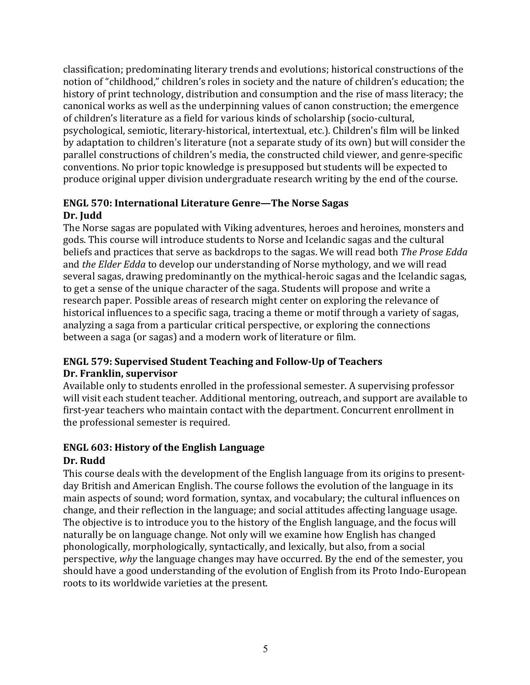classification; predominating literary trends and evolutions; historical constructions of the notion of "childhood," children's roles in society and the nature of children's education; the history of print technology, distribution and consumption and the rise of mass literacy; the canonical works as well as the underpinning values of canon construction; the emergence of children's literature as a field for various kinds of scholarship (socio-cultural, psychological, semiotic, literary-historical, intertextual, etc.). Children's film will be linked by adaptation to children's literature (not a separate study of its own) but will consider the parallel constructions of children's media, the constructed child viewer, and genre-specific conventions. No prior topic knowledge is presupposed but students will be expected to produce original upper division undergraduate research writing by the end of the course.

### **ENGL 570: International Literature Genre—The Norse Sagas** Dr. **Judd**

The Norse sagas are populated with Viking adventures, heroes and heroines, monsters and gods. This course will introduce students to Norse and Icelandic sagas and the cultural beliefs and practices that serve as backdrops to the sagas. We will read both *The Prose Edda* and *the Elder Edda* to develop our understanding of Norse mythology, and we will read several sagas, drawing predominantly on the mythical-heroic sagas and the Icelandic sagas, to get a sense of the unique character of the saga. Students will propose and write a research paper. Possible areas of research might center on exploring the relevance of historical influences to a specific saga, tracing a theme or motif through a variety of sagas, analyzing a saga from a particular critical perspective, or exploring the connections between a saga (or sagas) and a modern work of literature or film.

### **ENGL 579: Supervised Student Teaching and Follow-Up of Teachers Dr. Franklin, supervisor**

Available only to students enrolled in the professional semester. A supervising professor will visit each student teacher. Additional mentoring, outreach, and support are available to first-year teachers who maintain contact with the department. Concurrent enrollment in the professional semester is required.

## **ENGL 603: History of the English Language**

## Dr. Rudd

This course deals with the development of the English language from its origins to presentday British and American English. The course follows the evolution of the language in its main aspects of sound; word formation, syntax, and vocabulary; the cultural influences on change, and their reflection in the language; and social attitudes affecting language usage. The objective is to introduce you to the history of the English language, and the focus will naturally be on language change. Not only will we examine how English has changed phonologically, morphologically, syntactically, and lexically, but also, from a social perspective, *why* the language changes may have occurred. By the end of the semester, you should have a good understanding of the evolution of English from its Proto Indo-European roots to its worldwide varieties at the present.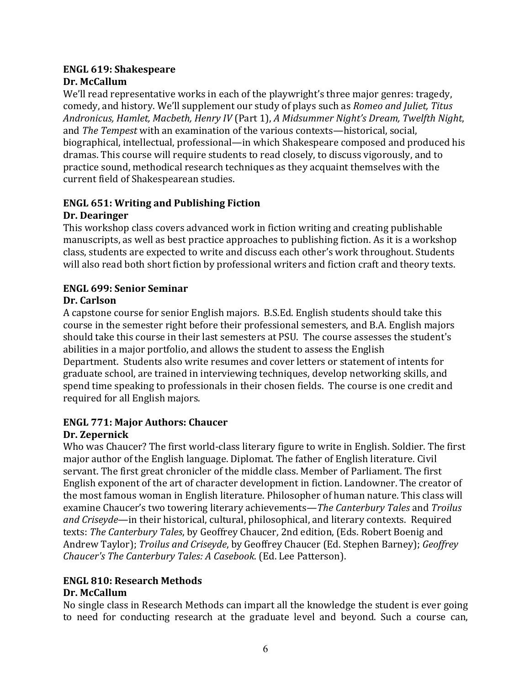#### **ENGL 619: Shakespeare Dr. McCallum**

We'll read representative works in each of the playwright's three major genres: tragedy, comedy, and history. We'll supplement our study of plays such as *Romeo and Juliet*, Titus Andronicus, Hamlet, Macbeth, Henry IV (Part 1), *A Midsummer Night's Dream, Twelfth Night*, and *The Tempest* with an examination of the various contexts—historical, social, biographical, intellectual, professional—in which Shakespeare composed and produced his dramas. This course will require students to read closely, to discuss vigorously, and to practice sound, methodical research techniques as they acquaint themselves with the current field of Shakespearean studies.

### **ENGL 651: Writing and Publishing Fiction Dr. Dearinger**

This workshop class covers advanced work in fiction writing and creating publishable manuscripts, as well as best practice approaches to publishing fiction. As it is a workshop class, students are expected to write and discuss each other's work throughout. Students will also read both short fiction by professional writers and fiction craft and theory texts.

## **ENGL 699: Senior Seminar**

## **Dr. Carlson**

A capstone course for senior English majors. B.S.Ed. English students should take this course in the semester right before their professional semesters, and B.A. English majors should take this course in their last semesters at PSU. The course assesses the student's abilities in a major portfolio, and allows the student to assess the English Department. Students also write resumes and cover letters or statement of intents for graduate school, are trained in interviewing techniques, develop networking skills, and spend time speaking to professionals in their chosen fields. The course is one credit and required for all English majors.

#### **ENGL 771: Major Authors: Chaucer Dr. Zepernick**

Who was Chaucer? The first world-class literary figure to write in English. Soldier. The first major author of the English language. Diplomat. The father of English literature. Civil servant. The first great chronicler of the middle class. Member of Parliament. The first English exponent of the art of character development in fiction. Landowner. The creator of the most famous woman in English literature. Philosopher of human nature. This class will examine Chaucer's two towering literary achievements—*The Canterbury Tales* and *Troilus* and *Criseyde*—in their historical, cultural, philosophical, and literary contexts. Required texts: *The Canterbury Tales*, by Geoffrey Chaucer, 2nd edition, (Eds. Robert Boenig and Andrew Taylor); *Troilus and Criseyde*, by Geoffrey Chaucer (Ed. Stephen Barney); *Geoffrey Chaucer's The Canterbury Tales: A Casebook.* (Ed. Lee Patterson).

### **ENGL 810: Research Methods Dr. McCallum**

No single class in Research Methods can impart all the knowledge the student is ever going to need for conducting research at the graduate level and beyond. Such a course can,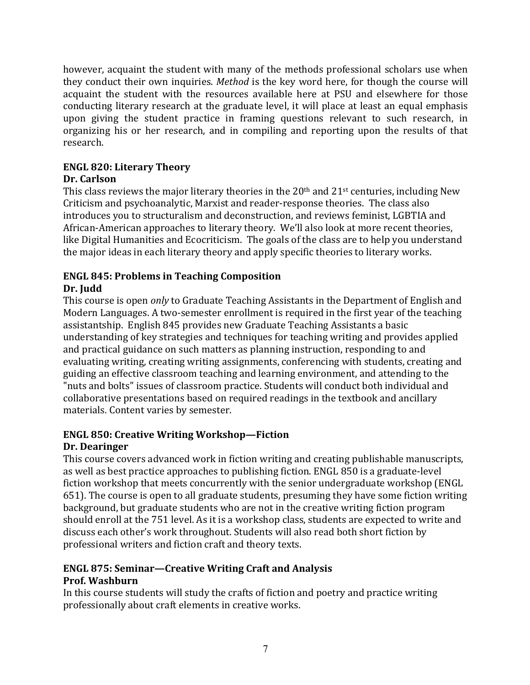however, acquaint the student with many of the methods professional scholars use when they conduct their own inquiries. *Method* is the key word here, for though the course will acquaint the student with the resources available here at PSU and elsewhere for those conducting literary research at the graduate level, it will place at least an equal emphasis upon giving the student practice in framing questions relevant to such research, in organizing his or her research, and in compiling and reporting upon the results of that research.

# **ENGL 820: Literary Theory**

### **Dr. Carlson**

This class reviews the major literary theories in the  $20<sup>th</sup>$  and  $21<sup>st</sup>$  centuries, including New Criticism and psychoanalytic, Marxist and reader-response theories. The class also introduces you to structuralism and deconstruction, and reviews feminist, LGBTIA and African-American approaches to literary theory. We'll also look at more recent theories, like Digital Humanities and Ecocriticism. The goals of the class are to help you understand the major ideas in each literary theory and apply specific theories to literary works.

#### **ENGL 845: Problems in Teaching Composition** Dr. **Judd**

This course is open *only* to Graduate Teaching Assistants in the Department of English and Modern Languages. A two-semester enrollment is required in the first year of the teaching assistantship. English 845 provides new Graduate Teaching Assistants a basic understanding of key strategies and techniques for teaching writing and provides applied and practical guidance on such matters as planning instruction, responding to and evaluating writing, creating writing assignments, conferencing with students, creating and guiding an effective classroom teaching and learning environment, and attending to the "nuts and bolts" issues of classroom practice. Students will conduct both individual and collaborative presentations based on required readings in the textbook and ancillary materials. Content varies by semester.

## **ENGL 850: Creative Writing Workshop—Fiction Dr. Dearinger**

This course covers advanced work in fiction writing and creating publishable manuscripts, as well as best practice approaches to publishing fiction. ENGL 850 is a graduate-level fiction workshop that meets concurrently with the senior undergraduate workshop (ENGL 651). The course is open to all graduate students, presuming they have some fiction writing background, but graduate students who are not in the creative writing fiction program should enroll at the 751 level. As it is a workshop class, students are expected to write and discuss each other's work throughout. Students will also read both short fiction by professional writers and fiction craft and theory texts.

## **ENGL 875: Seminar—Creative Writing Craft and Analysis Prof. Washburn**

In this course students will study the crafts of fiction and poetry and practice writing professionally about craft elements in creative works.